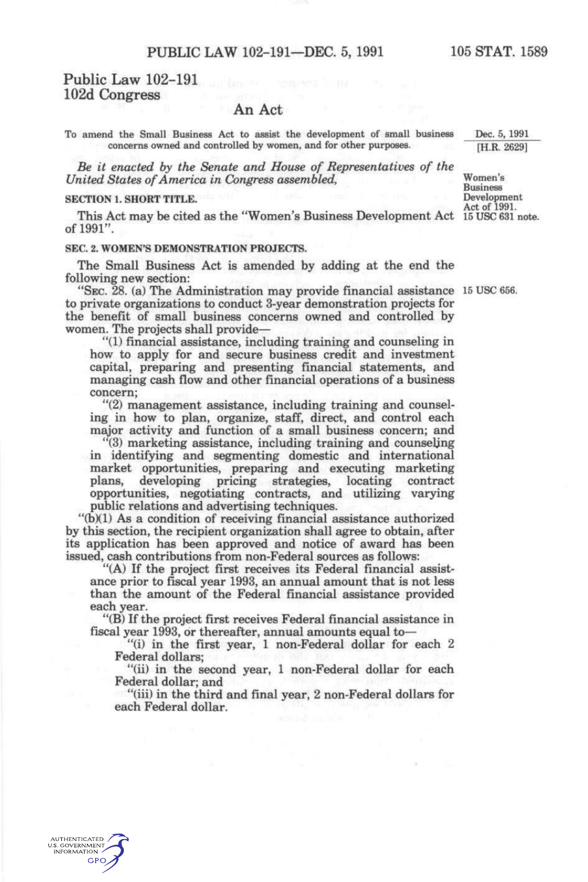# Public Law 102-191 102d Congress

# An Act

To amend the Small Business Act to assist the development of small business concerns owned and controlled by women, and for other purposes.

*Be it enacted by the Senate and House of Representatives of the United States of America in Congress assembled,* 

#### SECTION 1. SHORT TITLE.

This Act may be cited as the "Women's Business Development Act 15 USC 631 note. of 1991".

#### SEC. 2. WOMEN'S DEMONSTRATION PROJECTS.

The Small Business Act is amended by adding at the end the following new section:

"SEC. 28. (a) The Administration may provide financial assistance 15 USC 656. to private organizations to conduct 3-year demonstration projects for the benefit of small business concerns owned and controlled by women. The projects shall provide—

"(1) financial assistance, including training and counseling in how to apply for and secure business credit and investment capital, preparing and presenting financial statements, and managing cash flow and other financial operations of a business concern;

"(2) management assistance, including training and counseling in how to plan, organize, staff, direct, and control each major activity and function of a small business concern; and

"(3) marketing assistance, including training and counseling in identifying and segmenting domestic and international market opportunities, preparing and executing marketing plans, developing pricing strategies, locating contract opportunities, negotiating contracts, and utilizing varying public relations and advertising techniques.

"(b)(1) As a condition of receiving financial assistance authorized by this section, the recipient organization shall agree to obtain, after its application has been approved and notice of award has been issued, cash contributions from non-Federal sources as follows:

"(A) If the project first receives its Federal financial assistance prior to fiscal year 1993, an annual amount that is not less than the amount of the Federal financial assistance provided each year.

"(B) If the project first receives Federal financial assistance in fiscal year 1993, or thereafter, annual amounts equal to—

"(i) in the first year, 1 non-Federal dollar for each 2 Federal dollars;

"(ii) in the second year, 1 non-Federal dollar for each Federal dollar; and

"(iii) in the third and final year, 2 non-Federal dollars for each Federal dollar.

Dec. 5, 1991 [H.R. 2629]

Women's Business Development

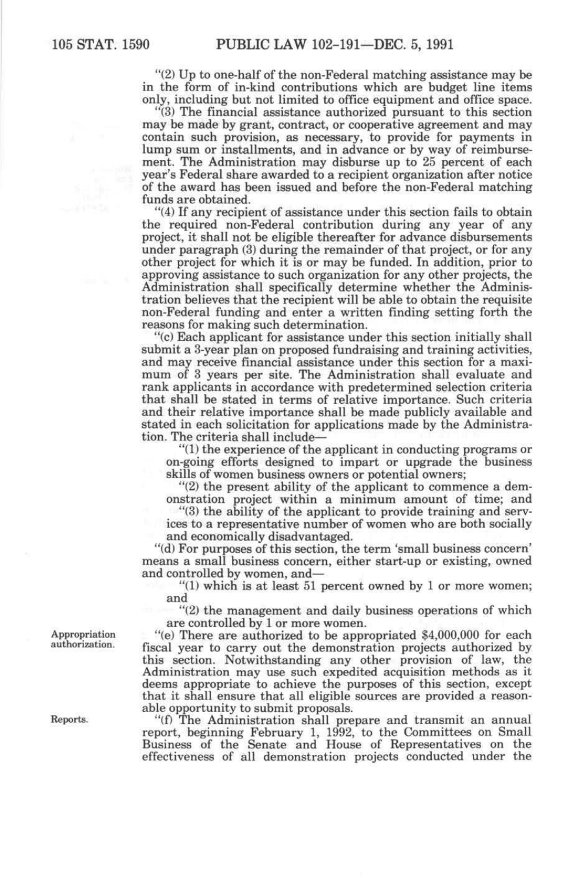"(2) Up to one-half of the non-Federal matching assistance may be in the form of in-kind contributions which are budget line items only, including but not limited to office equipment and office space.

"(3) The financial assistance authorized pursuant to this section may be made by grant, contract, or cooperative agreement and may contain such provision, as necessary, to provide for payments in lump sum or installments, and in advance or by way of reimbursement. The Administration may disburse up to 25 percent of each year's Federal share awarded to a recipient organization after notice of the award has been issued and before the non-Federal matching funds are obtained.

"(4) If any recipient of assistance under this section fails to obtain the required non-Federal contribution during any year of any project, it shall not be eligible thereafter for advance disbursements under paragraph (3) during the remainder of that project, or for any other project for which it is or may be funded. In addition, prior to approving assistance to such organization for any other projects, the Administration shall specifically determine whether the Administration believes that the recipient will be able to obtain the requisite non-Federal funding and enter a written finding setting forth the reasons for making such determination.

"(c) Each applicant for assistance under this section initially shall submit a 3-year plan on proposed fundraising and training activities, and may receive financial assistance under this section for a maximum of 3 years per site. The Administration shall evaluate and rank applicants in accordance with predetermined selection criteria that shall be stated in terms of relative importance. Such criteria and their relative importance shall be made publicly available and stated in each solicitation for applications made by the Administration. The criteria shall include—

"(1) the experience of the applicant in conducting programs or on-going efforts designed to impart or upgrade the business skills of women business owners or potential owners;

"(2) the present ability of the applicant to commence a demonstration project within a minimum amount of time; and

"(3) the ability of the applicant to provide training and services to a representative number of women who are both socially and economically disadvantaged.

"(d) For purposes of this section, the term 'small business concern' means a small business concern, either start-up or existing, owned and controlled by women, and—

"(1) which is at least 51 percent owned by 1 or more women; and

"(2) the management and daily business operations of which are controlled by 1 or more women.

"(e) There are authorized to be appropriated \$4,000,000 for each fiscal year to carry out the demonstration projects authorized by this section. Notwithstanding any other provision of law, the Administration may use such expedited acquisition methods as it deems appropriate to achieve the purposes of this section, except that it shall ensure that all eligible sources are provided a reasonable opportunity to submit proposals.

"(f) The Administration shall prepare and transmit an annual report, beginning February 1, 1992, to the Committees on Small Business of the Senate and House of Representatives on the effectiveness of all demonstration projects conducted under the

Appropriation authorization.

Reports.